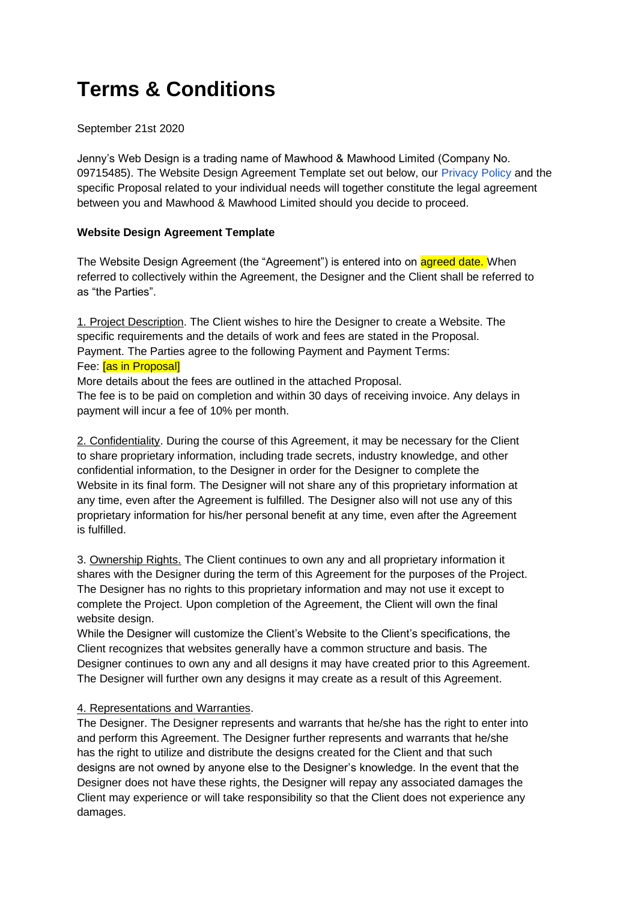# **Terms & Conditions**

### September 21st 2020

Jenny's Web Design is a trading name of Mawhood & Mawhood Limited (Company No. 09715485). The Website Design Agreement Template set out below, our [Privacy Policy](https://www.jennyswebdesign.com/privacy-policy) and the specific Proposal related to your individual needs will together constitute the legal agreement between you and Mawhood & Mawhood Limited should you decide to proceed.

## **Website Design Agreement Template**

The Website Design Agreement (the "Agreement") is entered into on agreed date. When referred to collectively within the Agreement, the Designer and the Client shall be referred to as "the Parties".

1. Project Description. The Client wishes to hire the Designer to create a Website. The specific requirements and the details of work and fees are stated in the Proposal. Payment. The Parties agree to the following Payment and Payment Terms: Fee: [as in Proposal]

More details about the fees are outlined in the attached Proposal.

The fee is to be paid on completion and within 30 days of receiving invoice. Any delays in payment will incur a fee of 10% per month.

2. Confidentiality. During the course of this Agreement, it may be necessary for the Client to share proprietary information, including trade secrets, industry knowledge, and other confidential information, to the Designer in order for the Designer to complete the Website in its final form. The Designer will not share any of this proprietary information at any time, even after the Agreement is fulfilled. The Designer also will not use any of this proprietary information for his/her personal benefit at any time, even after the Agreement is fulfilled.

3. Ownership Rights. The Client continues to own any and all proprietary information it shares with the Designer during the term of this Agreement for the purposes of the Project. The Designer has no rights to this proprietary information and may not use it except to complete the Project. Upon completion of the Agreement, the Client will own the final website design.

While the Designer will customize the Client's Website to the Client's specifications, the Client recognizes that websites generally have a common structure and basis. The Designer continues to own any and all designs it may have created prior to this Agreement. The Designer will further own any designs it may create as a result of this Agreement.

#### 4. Representations and Warranties.

The Designer. The Designer represents and warrants that he/she has the right to enter into and perform this Agreement. The Designer further represents and warrants that he/she has the right to utilize and distribute the designs created for the Client and that such designs are not owned by anyone else to the Designer's knowledge. In the event that the Designer does not have these rights, the Designer will repay any associated damages the Client may experience or will take responsibility so that the Client does not experience any damages.